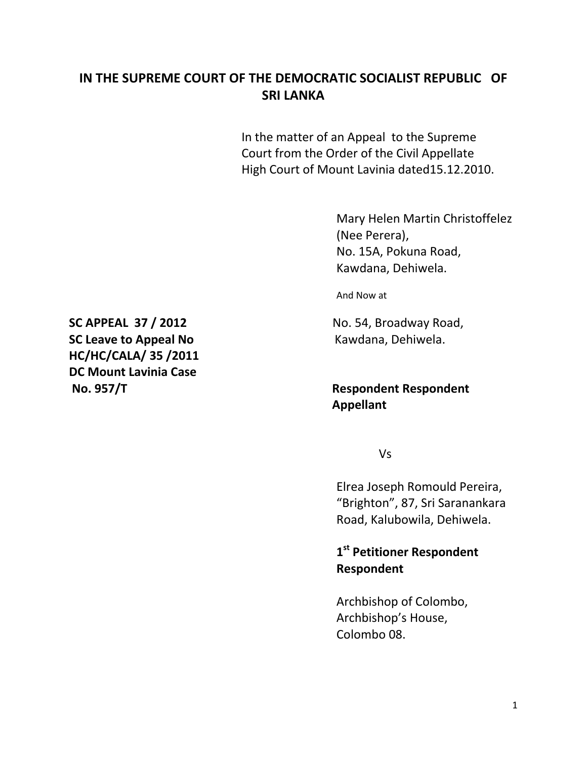# **IN THE SUPREME COURT OF THE DEMOCRATIC SOCIALIST REPUBLIC OF SRI LANKA**

In the matter of an Appeal to the Supreme Court from the Order of the Civil Appellate High Court of Mount Lavinia dated15.12.2010.

> Mary Helen Martin Christoffelez (Nee Perera), No. 15A, Pokuna Road, Kawdana, Dehiwela.

And Now at

## **No. 957/T Respondent Respondent Appellant**

Vs

Elrea Joseph Romould Pereira, "Brighton", 87, Sri Saranankara Road, Kalubowila, Dehiwela.

**1 st Petitioner Respondent Respondent**

Archbishop of Colombo, Archbishop's House, Colombo 08.

**SC APPEAL 37 / 2012** No. 54, Broadway Road, **SC Leave to Appeal No Kawdana, Dehiwela. HC/HC/CALA/ 35 /2011 DC Mount Lavinia Case**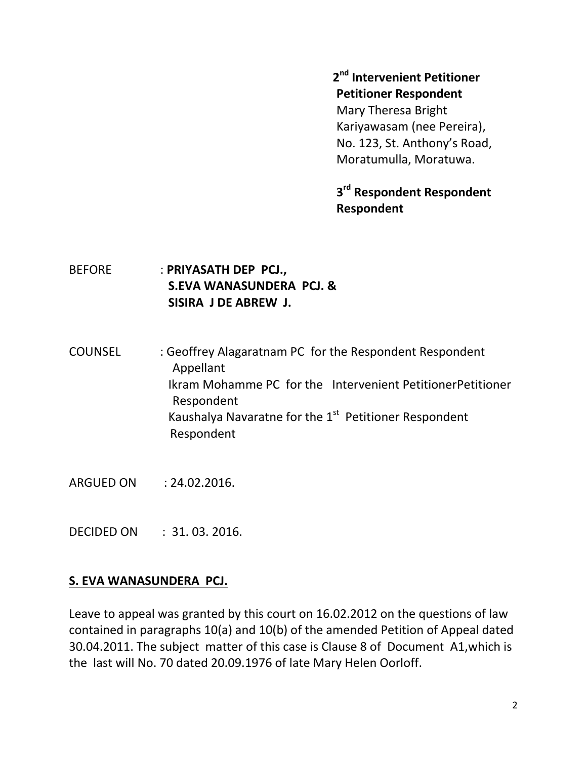#### **2 nd Intervenient Petitioner Petitioner Respondent**

Mary Theresa Bright Kariyawasam (nee Pereira), No. 123, St. Anthony's Road, Moratumulla, Moratuwa.

# **3 rd Respondent Respondent Respondent**

- BEFORE : **PRIYASATH DEP PCJ., S.EVA WANASUNDERA PCJ. & SISIRA J DE ABREW J.**
- COUNSEL : Geoffrey Alagaratnam PC for the Respondent Respondent Appellant Ikram Mohamme PC for the Intervenient PetitionerPetitioner Respondent Kaushalya Navaratne for the  $1<sup>st</sup>$  Petitioner Respondent Respondent
- ARGUED ON : 24.02.2016.
- DECIDED ON : 31. 03. 2016.

## **S. EVA WANASUNDERA PCJ.**

Leave to appeal was granted by this court on 16.02.2012 on the questions of law contained in paragraphs 10(a) and 10(b) of the amended Petition of Appeal dated 30.04.2011. The subject matter of this case is Clause 8 of Document A1,which is the last will No. 70 dated 20.09.1976 of late Mary Helen Oorloff.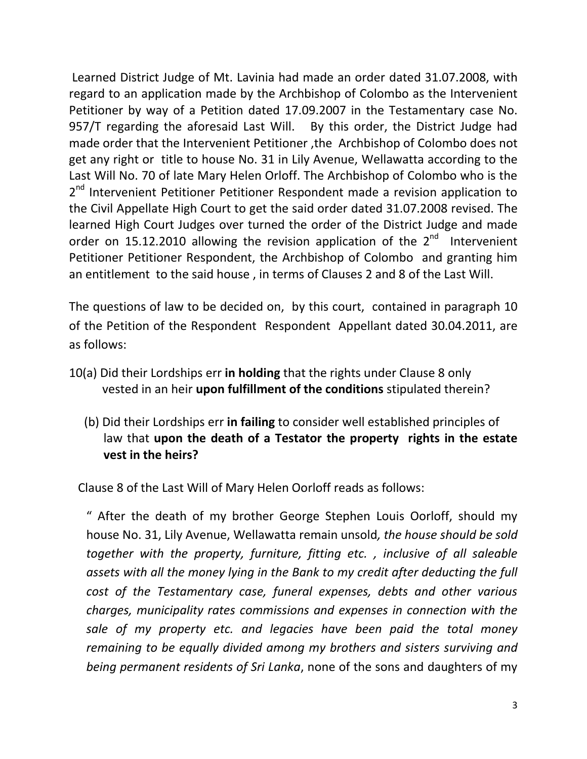Learned District Judge of Mt. Lavinia had made an order dated 31.07.2008, with regard to an application made by the Archbishop of Colombo as the Intervenient Petitioner by way of a Petition dated 17.09.2007 in the Testamentary case No. 957/T regarding the aforesaid Last Will. By this order, the District Judge had made order that the Intervenient Petitioner ,the Archbishop of Colombo does not get any right or title to house No. 31 in Lily Avenue, Wellawatta according to the Last Will No. 70 of late Mary Helen Orloff. The Archbishop of Colombo who is the 2<sup>nd</sup> Intervenient Petitioner Petitioner Respondent made a revision application to the Civil Appellate High Court to get the said order dated 31.07.2008 revised. The learned High Court Judges over turned the order of the District Judge and made order on 15.12.2010 allowing the revision application of the 2<sup>nd</sup> Intervenient Petitioner Petitioner Respondent, the Archbishop of Colombo and granting him an entitlement to the said house , in terms of Clauses 2 and 8 of the Last Will.

The questions of law to be decided on, by this court, contained in paragraph 10 of the Petition of the Respondent Respondent Appellant dated 30.04.2011, are as follows:

- 10(a) Did their Lordships err **in holding** that the rights under Clause 8 only vested in an heir **upon fulfillment of the conditions** stipulated therein?
	- (b) Did their Lordships err **in failing** to consider well established principles of law that **upon the death of a Testator the property rights in the estate vest in the heirs?**

Clause 8 of the Last Will of Mary Helen Oorloff reads as follows:

" After the death of my brother George Stephen Louis Oorloff, should my house No. 31, Lily Avenue, Wellawatta remain unsold*, the house should be sold together with the property, furniture, fitting etc. , inclusive of all saleable assets with all the money lying in the Bank to my credit after deducting the full cost of the Testamentary case, funeral expenses, debts and other various charges, municipality rates commissions and expenses in connection with the sale of my property etc. and legacies have been paid the total money remaining to be equally divided among my brothers and sisters surviving and being permanent residents of Sri Lanka*, none of the sons and daughters of my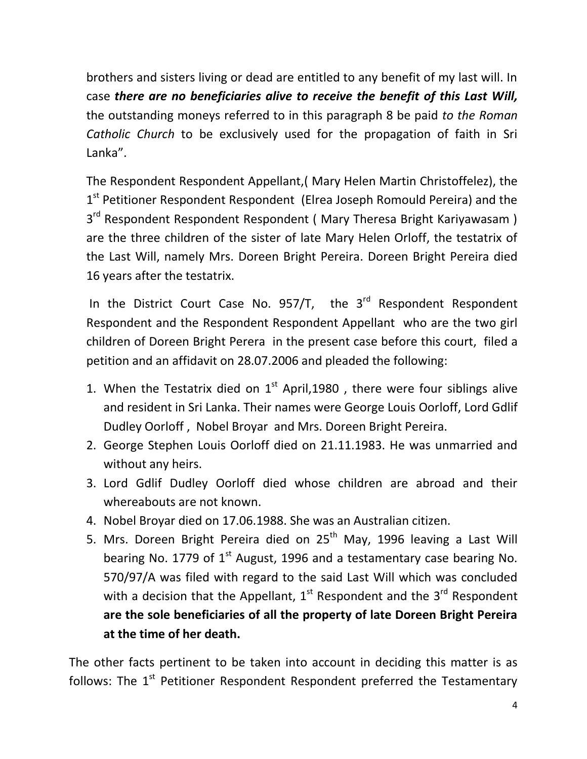brothers and sisters living or dead are entitled to any benefit of my last will. In case *there are no beneficiaries alive to receive the benefit of this Last Will,* the outstanding moneys referred to in this paragraph 8 be paid *to the Roman Catholic Church* to be exclusively used for the propagation of faith in Sri Lanka".

The Respondent Respondent Appellant,( Mary Helen Martin Christoffelez), the 1<sup>st</sup> Petitioner Respondent Respondent (Elrea Joseph Romould Pereira) and the 3<sup>rd</sup> Respondent Respondent Respondent ( Mary Theresa Bright Kariyawasam ) are the three children of the sister of late Mary Helen Orloff, the testatrix of the Last Will, namely Mrs. Doreen Bright Pereira. Doreen Bright Pereira died 16 years after the testatrix.

In the District Court Case No. 957/T, the 3<sup>rd</sup> Respondent Respondent Respondent and the Respondent Respondent Appellant who are the two girl children of Doreen Bright Perera in the present case before this court, filed a petition and an affidavit on 28.07.2006 and pleaded the following:

- 1. When the Testatrix died on  $1<sup>st</sup>$  April, 1980, there were four siblings alive and resident in Sri Lanka. Their names were George Louis Oorloff, Lord Gdlif Dudley Oorloff , Nobel Broyar and Mrs. Doreen Bright Pereira.
- 2. George Stephen Louis Oorloff died on 21.11.1983. He was unmarried and without any heirs.
- 3. Lord Gdlif Dudley Oorloff died whose children are abroad and their whereabouts are not known.
- 4. Nobel Broyar died on 17.06.1988. She was an Australian citizen.
- 5. Mrs. Doreen Bright Pereira died on  $25<sup>th</sup>$  May, 1996 leaving a Last Will bearing No. 1779 of  $1<sup>st</sup>$  August, 1996 and a testamentary case bearing No. 570/97/A was filed with regard to the said Last Will which was concluded with a decision that the Appellant,  $1^{st}$  Respondent and the  $3^{rd}$  Respondent **are the sole beneficiaries of all the property of late Doreen Bright Pereira at the time of her death.**

The other facts pertinent to be taken into account in deciding this matter is as follows: The  $1<sup>st</sup>$  Petitioner Respondent Respondent preferred the Testamentary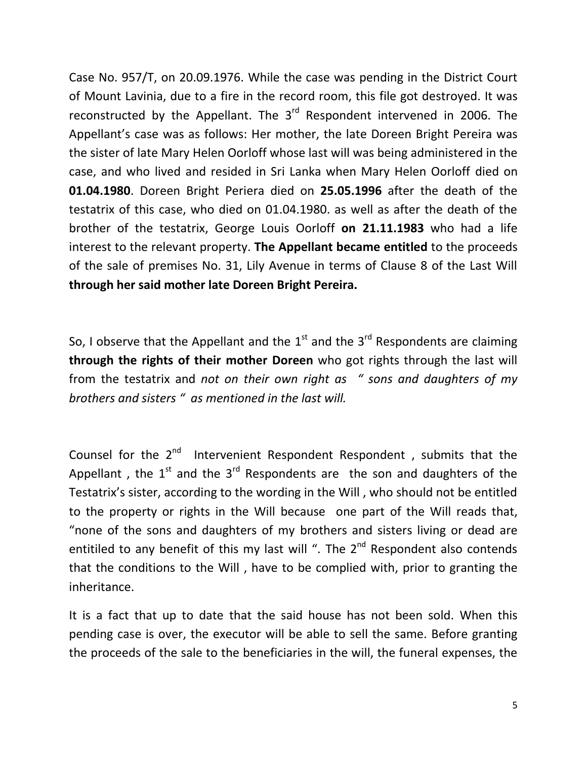Case No. 957/T, on 20.09.1976. While the case was pending in the District Court of Mount Lavinia, due to a fire in the record room, this file got destroyed. It was reconstructed by the Appellant. The  $3<sup>rd</sup>$  Respondent intervened in 2006. The Appellant's case was as follows: Her mother, the late Doreen Bright Pereira was the sister of late Mary Helen Oorloff whose last will was being administered in the case, and who lived and resided in Sri Lanka when Mary Helen Oorloff died on **01.04.1980**. Doreen Bright Periera died on **25.05.1996** after the death of the testatrix of this case, who died on 01.04.1980. as well as after the death of the brother of the testatrix, George Louis Oorloff **on 21.11.1983** who had a life interest to the relevant property. **The Appellant became entitled** to the proceeds of the sale of premises No. 31, Lily Avenue in terms of Clause 8 of the Last Will **through her said mother late Doreen Bright Pereira.**

So, I observe that the Appellant and the  $1<sup>st</sup>$  and the  $3<sup>rd</sup>$  Respondents are claiming **through the rights of their mother Doreen** who got rights through the last will from the testatrix and *not on their own right as " sons and daughters of my brothers and sisters " as mentioned in the last will.*

Counsel for the 2<sup>nd</sup> Intervenient Respondent Respondent, submits that the Appellant, the  $1^{st}$  and the  $3^{rd}$  Respondents are the son and daughters of the Testatrix's sister, according to the wording in the Will , who should not be entitled to the property or rights in the Will because one part of the Will reads that, "none of the sons and daughters of my brothers and sisters living or dead are entitiled to any benefit of this my last will ". The  $2^{nd}$  Respondent also contends that the conditions to the Will , have to be complied with, prior to granting the inheritance.

It is a fact that up to date that the said house has not been sold. When this pending case is over, the executor will be able to sell the same. Before granting the proceeds of the sale to the beneficiaries in the will, the funeral expenses, the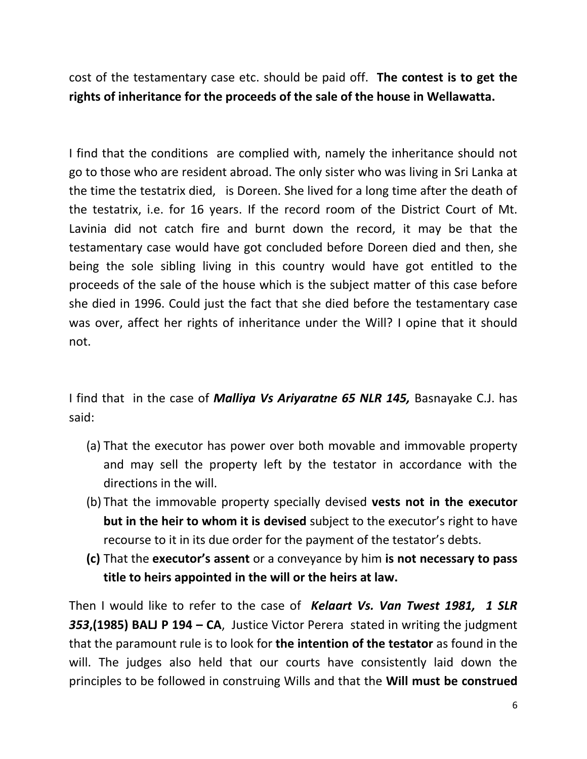cost of the testamentary case etc. should be paid off. **The contest is to get the rights of inheritance for the proceeds of the sale of the house in Wellawatta.**

I find that the conditions are complied with, namely the inheritance should not go to those who are resident abroad. The only sister who was living in Sri Lanka at the time the testatrix died, is Doreen. She lived for a long time after the death of the testatrix, i.e. for 16 years. If the record room of the District Court of Mt. Lavinia did not catch fire and burnt down the record, it may be that the testamentary case would have got concluded before Doreen died and then, she being the sole sibling living in this country would have got entitled to the proceeds of the sale of the house which is the subject matter of this case before she died in 1996. Could just the fact that she died before the testamentary case was over, affect her rights of inheritance under the Will? I opine that it should not.

I find that in the case of *Malliya Vs Ariyaratne 65 NLR 145,* Basnayake C.J. has said:

- (a) That the executor has power over both movable and immovable property and may sell the property left by the testator in accordance with the directions in the will.
- (b) That the immovable property specially devised **vests not in the executor but in the heir to whom it is devised** subject to the executor's right to have recourse to it in its due order for the payment of the testator's debts.
- **(c)** That the **executor's assent** or a conveyance by him **is not necessary to pass title to heirs appointed in the will or the heirs at law.**

Then I would like to refer to the case of *Kelaart Vs. Van Twest 1981, 1 SLR 353***,(1985) BALJ P 194 – CA**, Justice Victor Perera stated in writing the judgment that the paramount rule is to look for **the intention of the testator** as found in the will. The judges also held that our courts have consistently laid down the principles to be followed in construing Wills and that the **Will must be construed**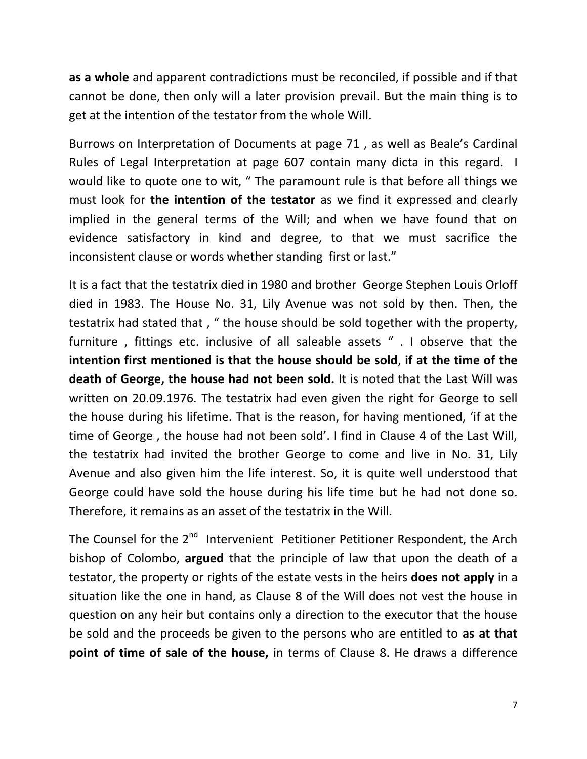**as a whole** and apparent contradictions must be reconciled, if possible and if that cannot be done, then only will a later provision prevail. But the main thing is to get at the intention of the testator from the whole Will.

Burrows on Interpretation of Documents at page 71 , as well as Beale's Cardinal Rules of Legal Interpretation at page 607 contain many dicta in this regard. I would like to quote one to wit, " The paramount rule is that before all things we must look for **the intention of the testator** as we find it expressed and clearly implied in the general terms of the Will; and when we have found that on evidence satisfactory in kind and degree, to that we must sacrifice the inconsistent clause or words whether standing first or last."

It is a fact that the testatrix died in 1980 and brother George Stephen Louis Orloff died in 1983. The House No. 31, Lily Avenue was not sold by then. Then, the testatrix had stated that , " the house should be sold together with the property, furniture , fittings etc. inclusive of all saleable assets " . I observe that the **intention first mentioned is that the house should be sold**, **if at the time of the death of George, the house had not been sold.** It is noted that the Last Will was written on 20.09.1976. The testatrix had even given the right for George to sell the house during his lifetime. That is the reason, for having mentioned, 'if at the time of George , the house had not been sold'. I find in Clause 4 of the Last Will, the testatrix had invited the brother George to come and live in No. 31, Lily Avenue and also given him the life interest. So, it is quite well understood that George could have sold the house during his life time but he had not done so. Therefore, it remains as an asset of the testatrix in the Will.

The Counsel for the 2<sup>nd</sup> Intervenient Petitioner Petitioner Respondent, the Arch bishop of Colombo, **argued** that the principle of law that upon the death of a testator, the property or rights of the estate vests in the heirs **does not apply** in a situation like the one in hand, as Clause 8 of the Will does not vest the house in question on any heir but contains only a direction to the executor that the house be sold and the proceeds be given to the persons who are entitled to **as at that point of time of sale of the house,** in terms of Clause 8. He draws a difference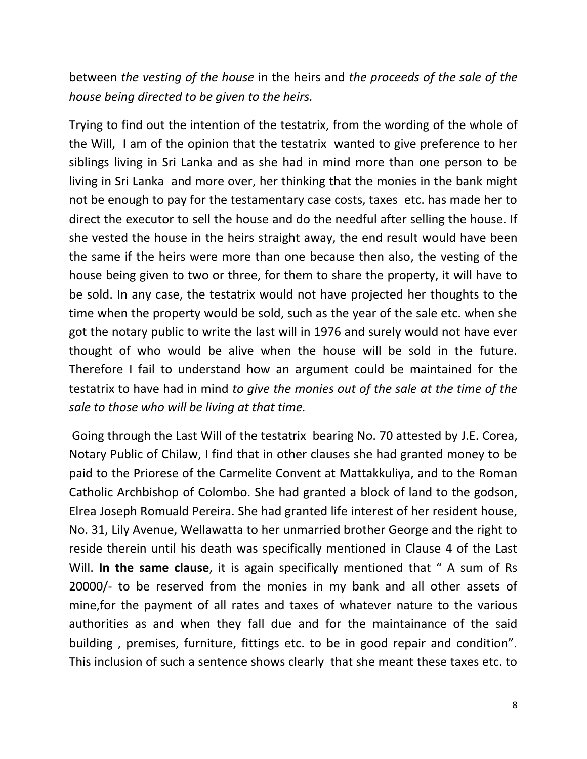between *the vesting of the house* in the heirs and *the proceeds of the sale of the house being directed to be given to the heirs.* 

Trying to find out the intention of the testatrix, from the wording of the whole of the Will, I am of the opinion that the testatrix wanted to give preference to her siblings living in Sri Lanka and as she had in mind more than one person to be living in Sri Lanka and more over, her thinking that the monies in the bank might not be enough to pay for the testamentary case costs, taxes etc. has made her to direct the executor to sell the house and do the needful after selling the house. If she vested the house in the heirs straight away, the end result would have been the same if the heirs were more than one because then also, the vesting of the house being given to two or three, for them to share the property, it will have to be sold. In any case, the testatrix would not have projected her thoughts to the time when the property would be sold, such as the year of the sale etc. when she got the notary public to write the last will in 1976 and surely would not have ever thought of who would be alive when the house will be sold in the future. Therefore I fail to understand how an argument could be maintained for the testatrix to have had in mind *to give the monies out of the sale at the time of the sale to those who will be living at that time.*

Going through the Last Will of the testatrix bearing No. 70 attested by J.E. Corea, Notary Public of Chilaw, I find that in other clauses she had granted money to be paid to the Priorese of the Carmelite Convent at Mattakkuliya, and to the Roman Catholic Archbishop of Colombo. She had granted a block of land to the godson, Elrea Joseph Romuald Pereira. She had granted life interest of her resident house, No. 31, Lily Avenue, Wellawatta to her unmarried brother George and the right to reside therein until his death was specifically mentioned in Clause 4 of the Last Will. **In the same clause**, it is again specifically mentioned that " A sum of Rs 20000/- to be reserved from the monies in my bank and all other assets of mine,for the payment of all rates and taxes of whatever nature to the various authorities as and when they fall due and for the maintainance of the said building , premises, furniture, fittings etc. to be in good repair and condition". This inclusion of such a sentence shows clearly that she meant these taxes etc. to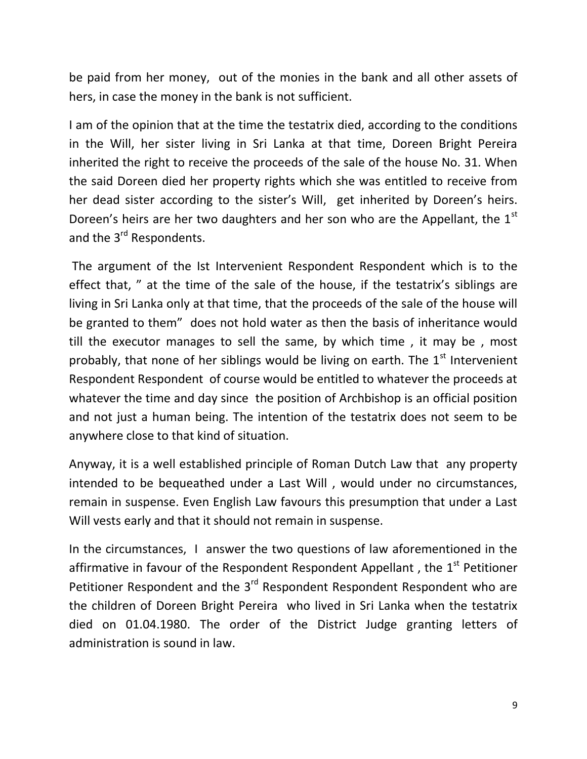be paid from her money, out of the monies in the bank and all other assets of hers, in case the money in the bank is not sufficient.

I am of the opinion that at the time the testatrix died, according to the conditions in the Will, her sister living in Sri Lanka at that time, Doreen Bright Pereira inherited the right to receive the proceeds of the sale of the house No. 31. When the said Doreen died her property rights which she was entitled to receive from her dead sister according to the sister's Will, get inherited by Doreen's heirs. Doreen's heirs are her two daughters and her son who are the Appellant, the  $1<sup>st</sup>$ and the 3<sup>rd</sup> Respondents.

The argument of the Ist Intervenient Respondent Respondent which is to the effect that, " at the time of the sale of the house, if the testatrix's siblings are living in Sri Lanka only at that time, that the proceeds of the sale of the house will be granted to them" does not hold water as then the basis of inheritance would till the executor manages to sell the same, by which time , it may be , most probably, that none of her siblings would be living on earth. The  $1<sup>st</sup>$  Intervenient Respondent Respondent of course would be entitled to whatever the proceeds at whatever the time and day since the position of Archbishop is an official position and not just a human being. The intention of the testatrix does not seem to be anywhere close to that kind of situation.

Anyway, it is a well established principle of Roman Dutch Law that any property intended to be bequeathed under a Last Will , would under no circumstances, remain in suspense. Even English Law favours this presumption that under a Last Will vests early and that it should not remain in suspense.

In the circumstances, I answer the two questions of law aforementioned in the affirmative in favour of the Respondent Respondent Appellant, the  $1<sup>st</sup>$  Petitioner Petitioner Respondent and the 3<sup>rd</sup> Respondent Respondent Respondent who are the children of Doreen Bright Pereira who lived in Sri Lanka when the testatrix died on 01.04.1980. The order of the District Judge granting letters of administration is sound in law.